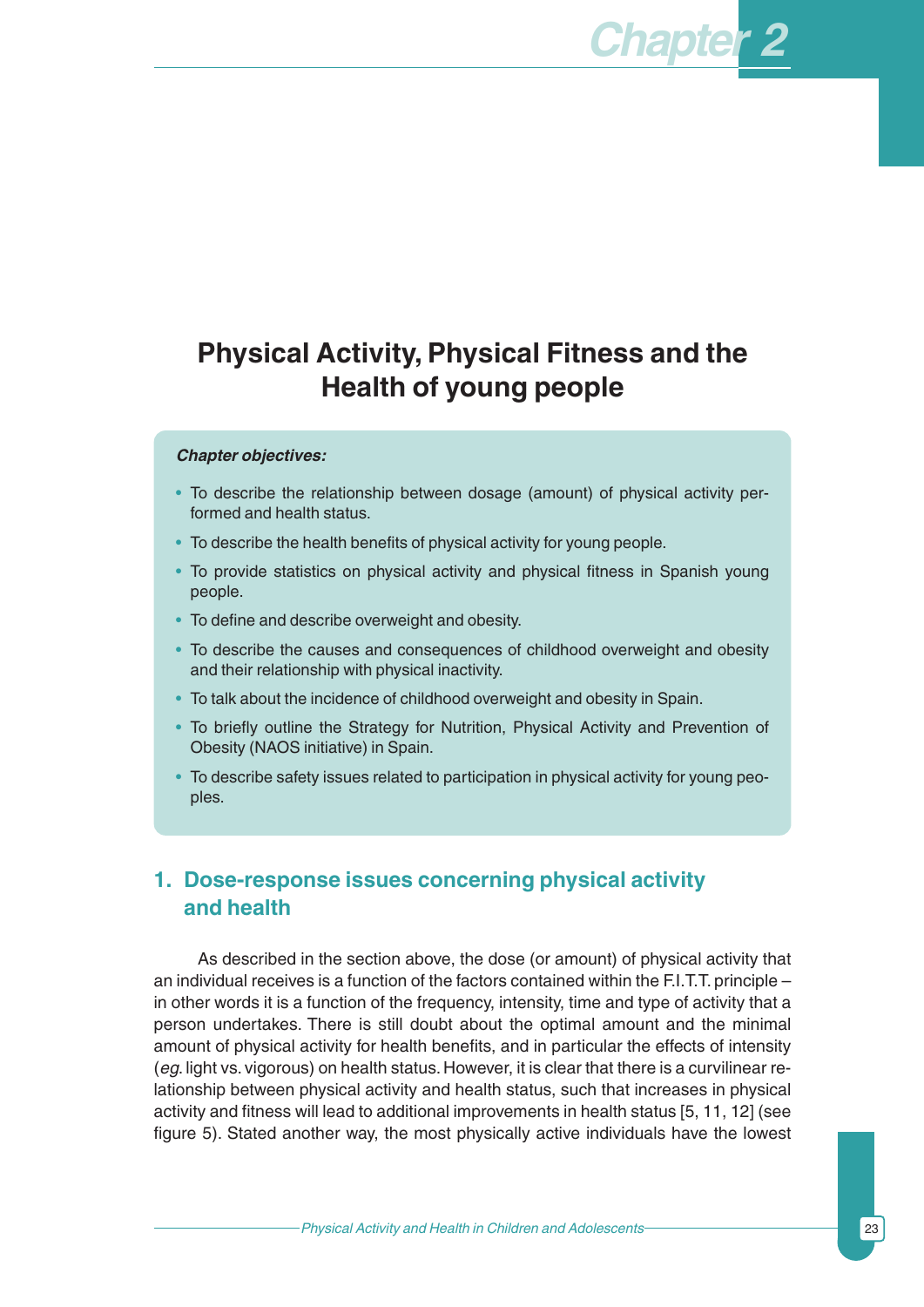# **Physical Activity, Physical Fitness and the Health of young people**

#### *Chapter objectives:*

- To describe the relationship between dosage (amount) of physical activity performed and health status.
- To describe the health benefits of physical activity for young people.
- To provide statistics on physical activity and physical fitness in Spanish young people.
- To define and describe overweight and obesity.
- To describe the causes and consequences of childhood overweight and obesity and their relationship with physical inactivity.
- To talk about the incidence of childhood overweight and obesity in Spain.
- To briefly outline the Strategy for Nutrition, Physical Activity and Prevention of Obesity (NAOS initiative) in Spain.
- To describe safety issues related to participation in physical activity for young peoples.

## **1. Dose-response issues concerning physical activity and health**

As described in the section above, the dose (or amount) of physical activity that an individual receives is a function of the factors contained within the F.I.T.T. principle – in other words it is a function of the frequency, intensity, time and type of activity that a person undertakes. There is still doubt about the optimal amount and the minimal amount of physical activity for health benefits, and in particular the effects of intensity (*eg*. light vs. vigorous) on health status. However, it is clear that there is a curvilinear relationship between physical activity and health status, such that increases in physical activity and fitness will lead to additional improvements in health status [5, 11, 12] (see figure 5). Stated another way, the most physically active individuals have the lowest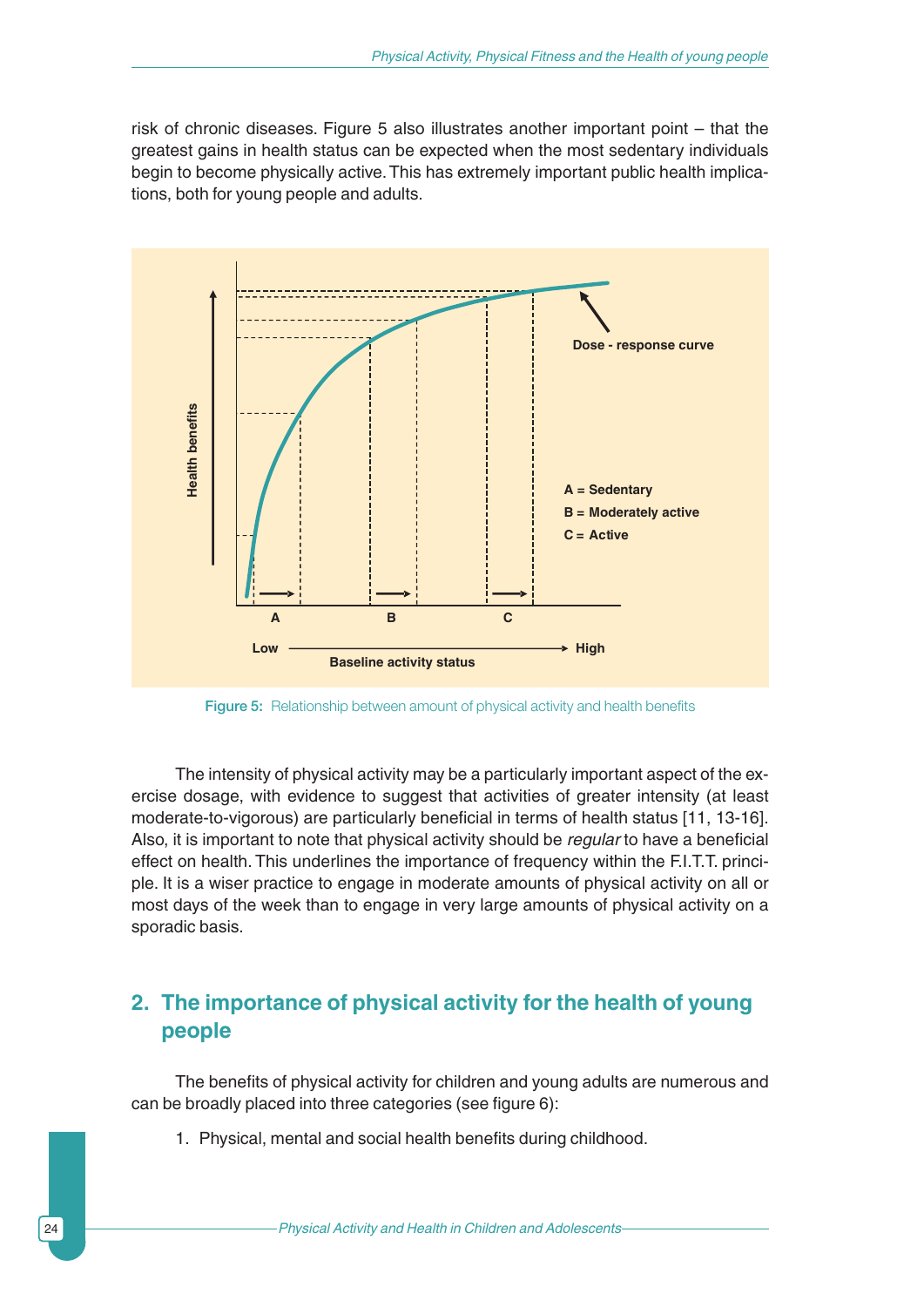risk of chronic diseases. Figure 5 also illustrates another important point – that the greatest gains in health status can be expected when the most sedentary individuals begin to become physically active. This has extremely important public health implications, both for young people and adults.



Figure 5: Relationship between amount of physical activity and health benefits

The intensity of physical activity may be a particularly important aspect of the exercise dosage, with evidence to suggest that activities of greater intensity (at least moderate-to-vigorous) are particularly beneficial in terms of health status [11, 13-16]. Also, it is important to note that physical activity should be *regular* to have a beneficial effect on health. This underlines the importance of frequency within the F.I.T.T. principle. It is a wiser practice to engage in moderate amounts of physical activity on all or most days of the week than to engage in very large amounts of physical activity on a sporadic basis.

## **2. The importance of physical activity for the health of young people**

The benefits of physical activity for children and young adults are numerous and can be broadly placed into three categories (see figure 6):

1. Physical, mental and social health benefits during childhood.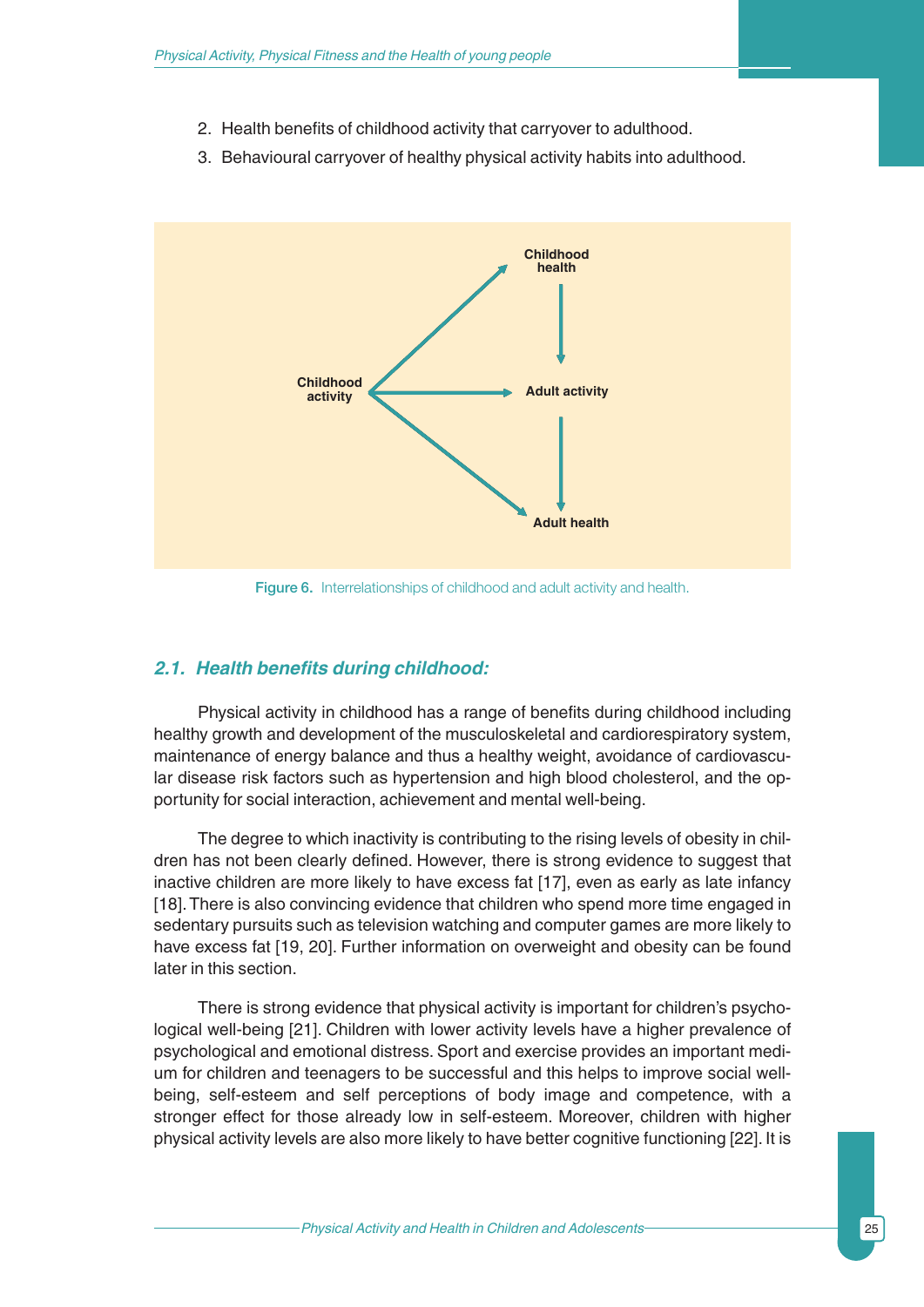- 2. Health benefits of childhood activity that carryover to adulthood.
- 3. Behavioural carryover of healthy physical activity habits into adulthood.



Figure 6. Interrelationships of childhood and adult activity and health.

### *2.1. Health benefits during childhood:*

Physical activity in childhood has a range of benefits during childhood including healthy growth and development of the musculoskeletal and cardiorespiratory system, maintenance of energy balance and thus a healthy weight, avoidance of cardiovascular disease risk factors such as hypertension and high blood cholesterol, and the opportunity for social interaction, achievement and mental well-being.

The degree to which inactivity is contributing to the rising levels of obesity in children has not been clearly defined. However, there is strong evidence to suggest that inactive children are more likely to have excess fat [17], even as early as late infancy [18].There is also convincing evidence that children who spend more time engaged in sedentary pursuits such as television watching and computer games are more likely to have excess fat [19, 20]. Further information on overweight and obesity can be found later in this section.

There is strong evidence that physical activity is important for children's psychological well-being [21]. Children with lower activity levels have a higher prevalence of psychological and emotional distress. Sport and exercise provides an important medium for children and teenagers to be successful and this helps to improve social wellbeing, self-esteem and self perceptions of body image and competence, with a stronger effect for those already low in self-esteem. Moreover, children with higher physical activity levels are also more likely to have better cognitive functioning [22]. It is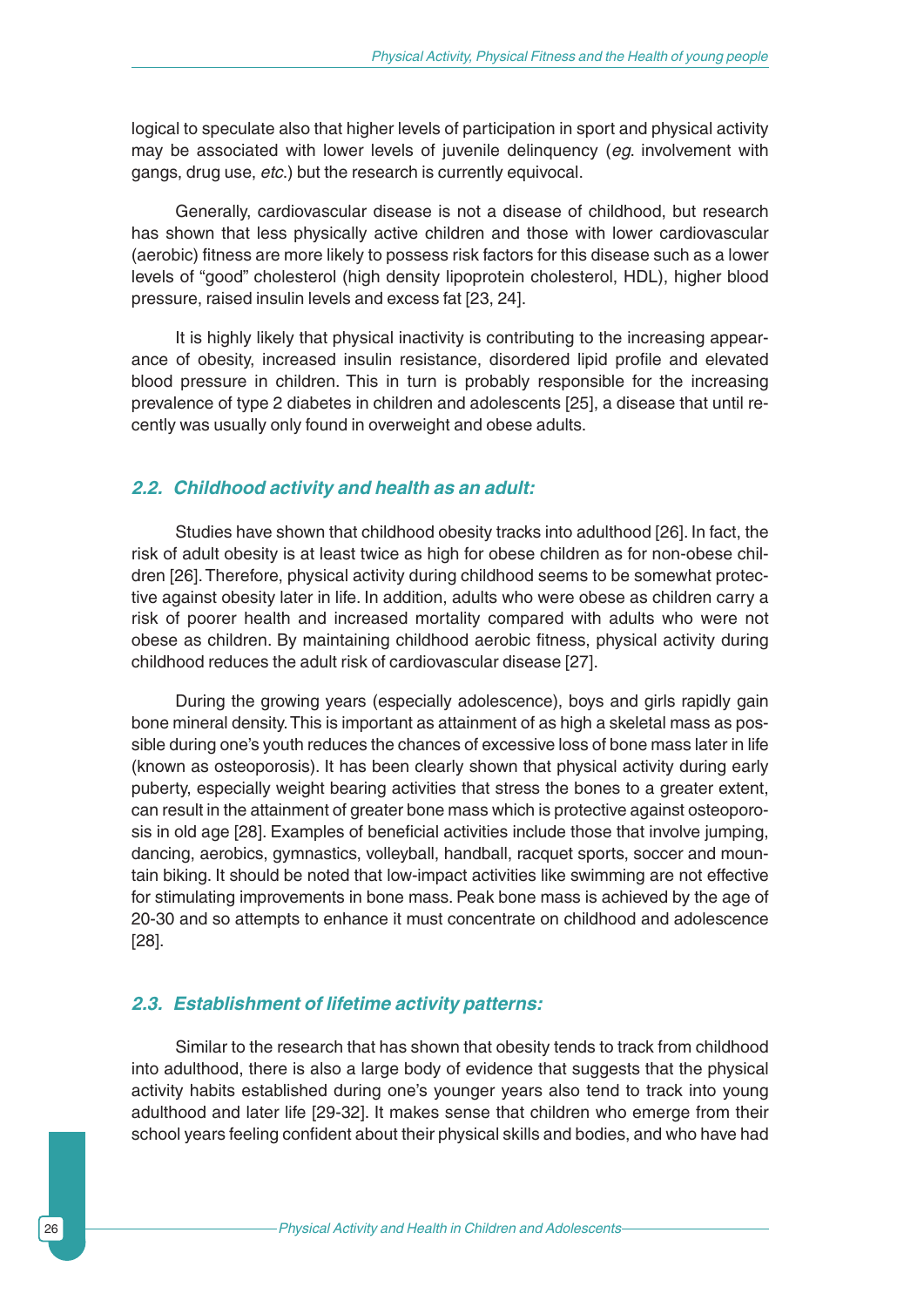logical to speculate also that higher levels of participation in sport and physical activity may be associated with lower levels of juvenile delinquency (*eg*. involvement with gangs, drug use, *etc*.) but the research is currently equivocal.

Generally, cardiovascular disease is not a disease of childhood, but research has shown that less physically active children and those with lower cardiovascular (aerobic) fitness are more likely to possess risk factors for this disease such as a lower levels of "good" cholesterol (high density lipoprotein cholesterol, HDL), higher blood pressure, raised insulin levels and excess fat [23, 24].

It is highly likely that physical inactivity is contributing to the increasing appearance of obesity, increased insulin resistance, disordered lipid profile and elevated blood pressure in children. This in turn is probably responsible for the increasing prevalence of type 2 diabetes in children and adolescents [25], a disease that until recently was usually only found in overweight and obese adults.

#### *2.2. Childhood activity and health as an adult:*

Studies have shown that childhood obesity tracks into adulthood [26]. In fact, the risk of adult obesity is at least twice as high for obese children as for non-obese children [26].Therefore, physical activity during childhood seems to be somewhat protective against obesity later in life. In addition, adults who were obese as children carry a risk of poorer health and increased mortality compared with adults who were not obese as children. By maintaining childhood aerobic fitness, physical activity during childhood reduces the adult risk of cardiovascular disease [27].

During the growing years (especially adolescence), boys and girls rapidly gain bone mineral density.This is important as attainment of as high a skeletal mass as possible during one's youth reduces the chances of excessive loss of bone mass later in life (known as osteoporosis). It has been clearly shown that physical activity during early puberty, especially weight bearing activities that stress the bones to a greater extent, can result in the attainment of greater bone mass which is protective against osteoporosis in old age [28]. Examples of beneficial activities include those that involve jumping, dancing, aerobics, gymnastics, volleyball, handball, racquet sports, soccer and mountain biking. It should be noted that low-impact activities like swimming are not effective for stimulating improvements in bone mass. Peak bone mass is achieved by the age of 20-30 and so attempts to enhance it must concentrate on childhood and adolescence [28].

#### *2.3. Establishment of lifetime activity patterns:*

Similar to the research that has shown that obesity tends to track from childhood into adulthood, there is also a large body of evidence that suggests that the physical activity habits established during one's younger years also tend to track into young adulthood and later life [29-32]. It makes sense that children who emerge from their school years feeling confident about their physical skills and bodies, and who have had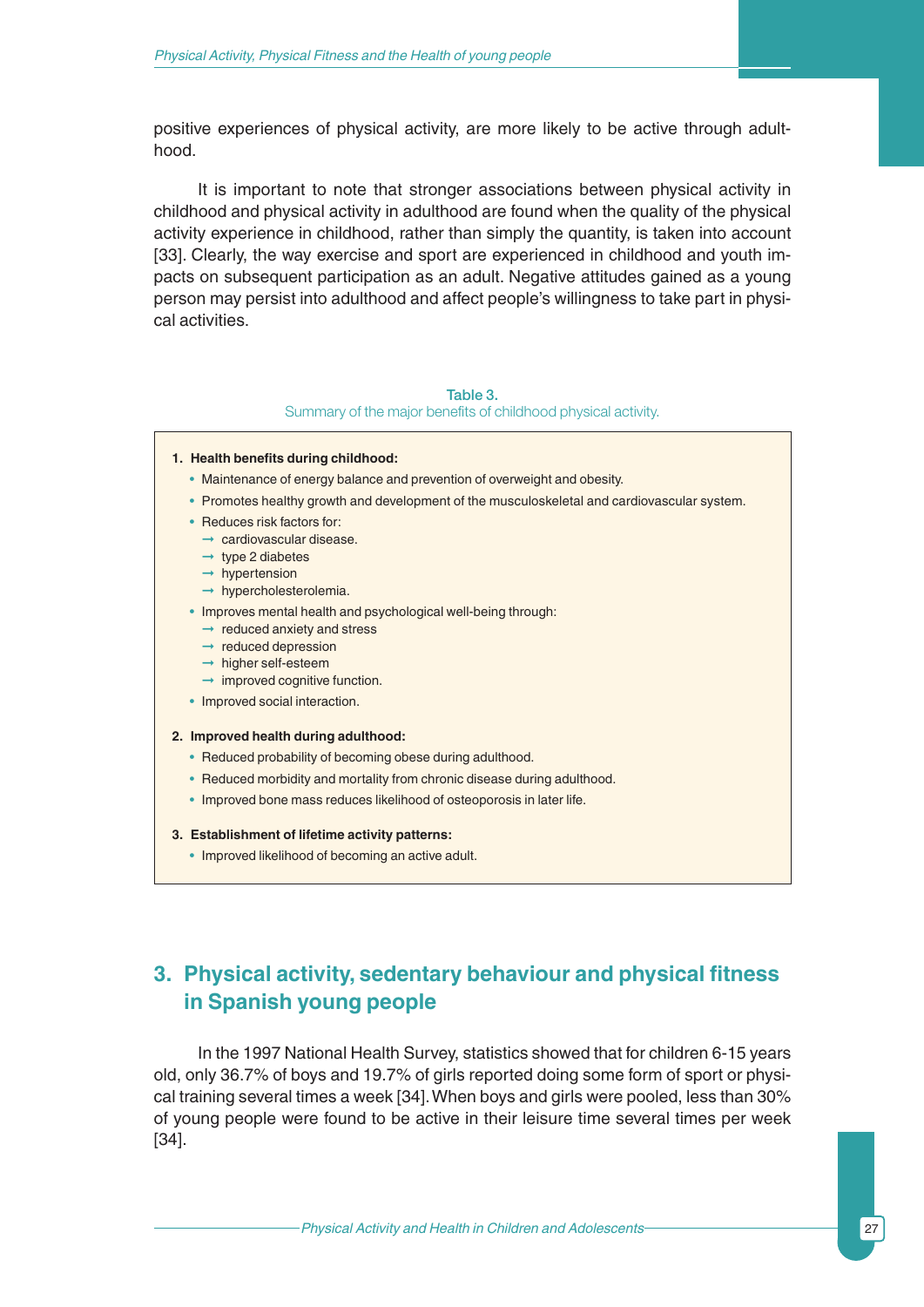positive experiences of physical activity, are more likely to be active through adulthood.

It is important to note that stronger associations between physical activity in childhood and physical activity in adulthood are found when the quality of the physical activity experience in childhood, rather than simply the quantity, is taken into account [33]. Clearly, the way exercise and sport are experienced in childhood and youth impacts on subsequent participation as an adult. Negative attitudes gained as a young person may persist into adulthood and affect people's willingness to take part in physical activities.

#### Table 3.

Summary of the major benefits of childhood physical activity.

- **1. Health benefits during childhood:**
	- Maintenance of energy balance and prevention of overweight and obesity.
	- Promotes healthy growth and development of the musculoskeletal and cardiovascular system.
	- Reduces risk factors for:
		- ➞ cardiovascular disease.
		- $\rightarrow$  type 2 diabetes
		- $\rightarrow$  hypertension
		- ➞ hypercholesterolemia.
	- Improves mental health and psychological well-being through:
		- $\rightarrow$  reduced anxiety and stress
		- $\rightarrow$  reduced depression
		- ➞ higher self-esteem
		- $\rightarrow$  improved cognitive function.
	- Improved social interaction.

#### **2. Improved health during adulthood:**

- Reduced probability of becoming obese during adulthood.
- Reduced morbidity and mortality from chronic disease during adulthood.
- Improved bone mass reduces likelihood of osteoporosis in later life.
- **3. Establishment of lifetime activity patterns:**
	- Improved likelihood of becoming an active adult.

## **3. Physical activity, sedentary behaviour and physical fitness in Spanish young people**

In the 1997 National Health Survey, statistics showed that for children 6-15 years old, only 36.7% of boys and 19.7% of girls reported doing some form of sport or physical training several times a week [34].When boys and girls were pooled, less than 30% of young people were found to be active in their leisure time several times per week [34].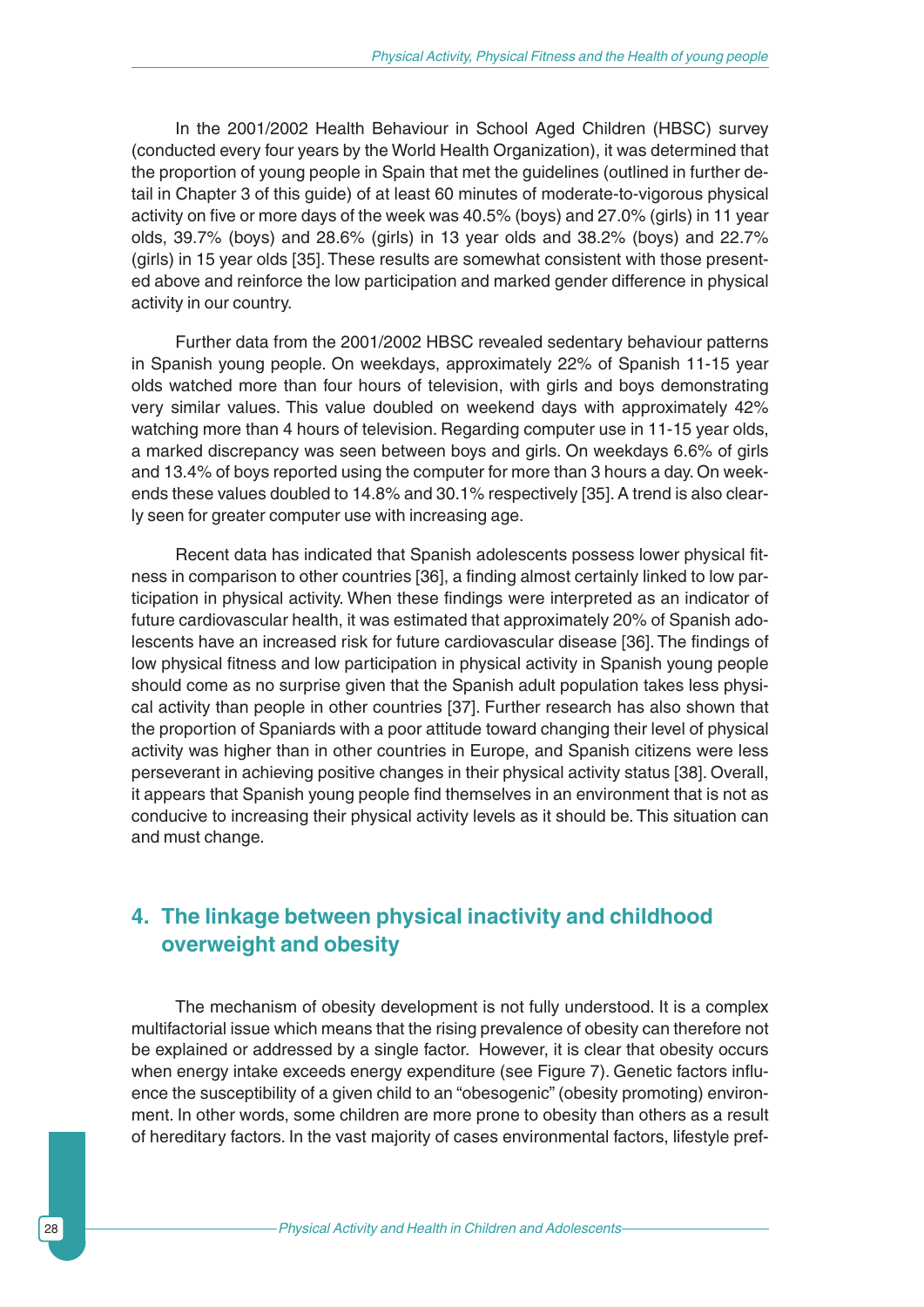In the 2001/2002 Health Behaviour in School Aged Children (HBSC) survey (conducted every four years by the World Health Organization), it was determined that the proportion of young people in Spain that met the guidelines (outlined in further detail in Chapter 3 of this guide) of at least 60 minutes of moderate-to-vigorous physical activity on five or more days of the week was 40.5% (boys) and 27.0% (girls) in 11 year olds, 39.7% (boys) and 28.6% (girls) in 13 year olds and 38.2% (boys) and 22.7% (girls) in 15 year olds [35]. These results are somewhat consistent with those presented above and reinforce the low participation and marked gender difference in physical activity in our country.

Further data from the 2001/2002 HBSC revealed sedentary behaviour patterns in Spanish young people. On weekdays, approximately 22% of Spanish 11-15 year olds watched more than four hours of television, with girls and boys demonstrating very similar values. This value doubled on weekend days with approximately 42% watching more than 4 hours of television. Regarding computer use in 11-15 year olds, a marked discrepancy was seen between boys and girls. On weekdays 6.6% of girls and 13.4% of boys reported using the computer for more than 3 hours a day. On weekends these values doubled to 14.8% and 30.1% respectively [35]. A trend is also clearly seen for greater computer use with increasing age.

Recent data has indicated that Spanish adolescents possess lower physical fitness in comparison to other countries [36], a finding almost certainly linked to low participation in physical activity. When these findings were interpreted as an indicator of future cardiovascular health, it was estimated that approximately 20% of Spanish adolescents have an increased risk for future cardiovascular disease [36]. The findings of low physical fitness and low participation in physical activity in Spanish young people should come as no surprise given that the Spanish adult population takes less physical activity than people in other countries [37]. Further research has also shown that the proportion of Spaniards with a poor attitude toward changing their level of physical activity was higher than in other countries in Europe, and Spanish citizens were less perseverant in achieving positive changes in their physical activity status [38]. Overall, it appears that Spanish young people find themselves in an environment that is not as conducive to increasing their physical activity levels as it should be. This situation can and must change.

## **4. The linkage between physical inactivity and childhood overweight and obesity**

The mechanism of obesity development is not fully understood. It is a complex multifactorial issue which means that the rising prevalence of obesity can therefore not be explained or addressed by a single factor. However, it is clear that obesity occurs when energy intake exceeds energy expenditure (see Figure 7). Genetic factors influence the susceptibility of a given child to an "obesogenic" (obesity promoting) environment. In other words, some children are more prone to obesity than others as a result of hereditary factors. In the vast majority of cases environmental factors, lifestyle pref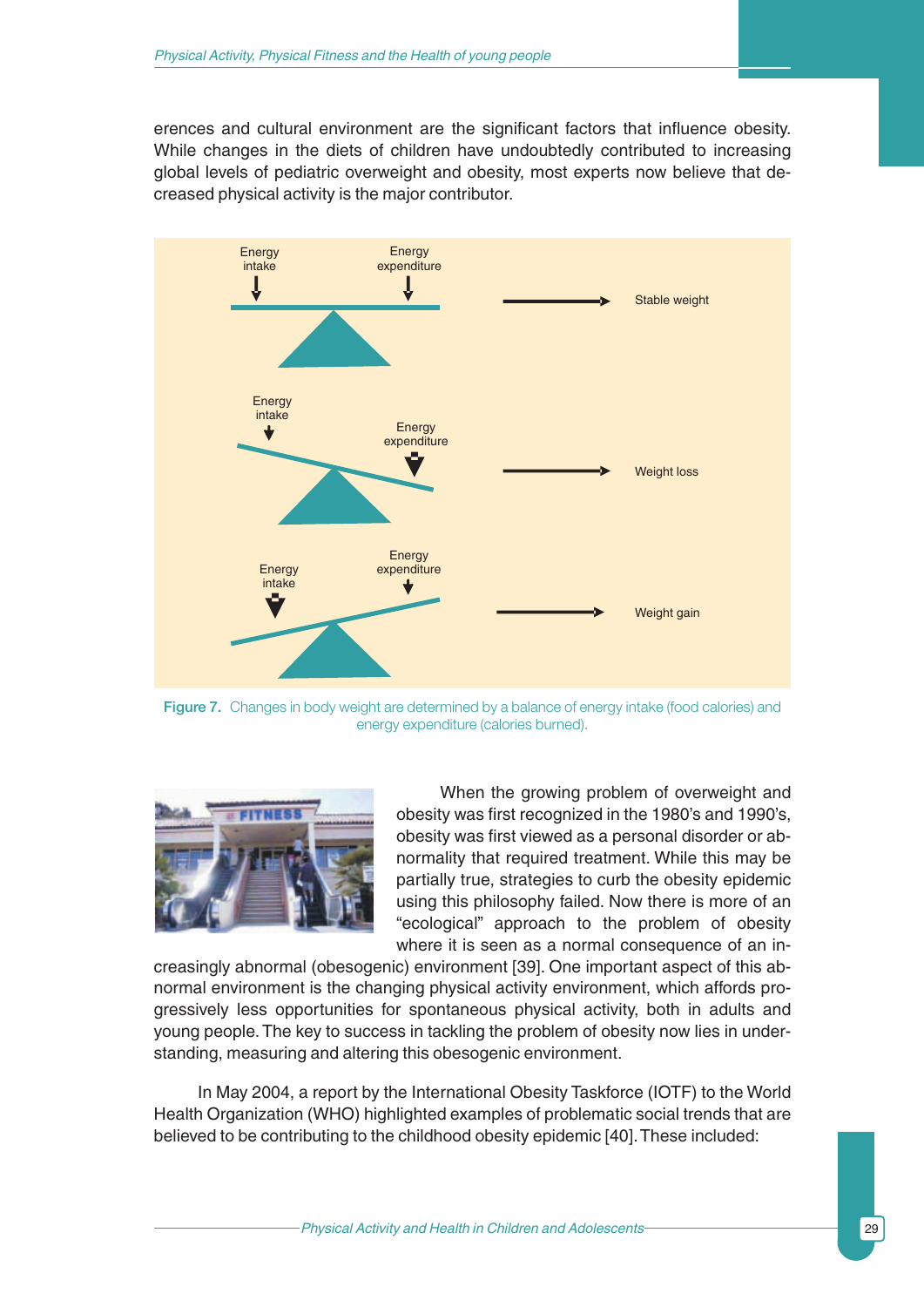erences and cultural environment are the significant factors that influence obesity. While changes in the diets of children have undoubtedly contributed to increasing global levels of pediatric overweight and obesity, most experts now believe that decreased physical activity is the major contributor.



Figure 7. Changes in body weight are determined by a balance of energy intake (food calories) and energy expenditure (calories burned).



When the growing problem of overweight and obesity was first recognized in the 1980's and 1990's, obesity was first viewed as a personal disorder or abnormality that required treatment. While this may be partially true, strategies to curb the obesity epidemic using this philosophy failed. Now there is more of an "ecological" approach to the problem of obesity where it is seen as a normal consequence of an in-

creasingly abnormal (obesogenic) environment [39]. One important aspect of this abnormal environment is the changing physical activity environment, which affords progressively less opportunities for spontaneous physical activity, both in adults and young people.The key to success in tackling the problem of obesity now lies in understanding, measuring and altering this obesogenic environment.

In May 2004, a report by the International Obesity Taskforce (IOTF) to the World Health Organization (WHO) highlighted examples of problematic social trends that are believed to be contributing to the childhood obesity epidemic [40]. These included: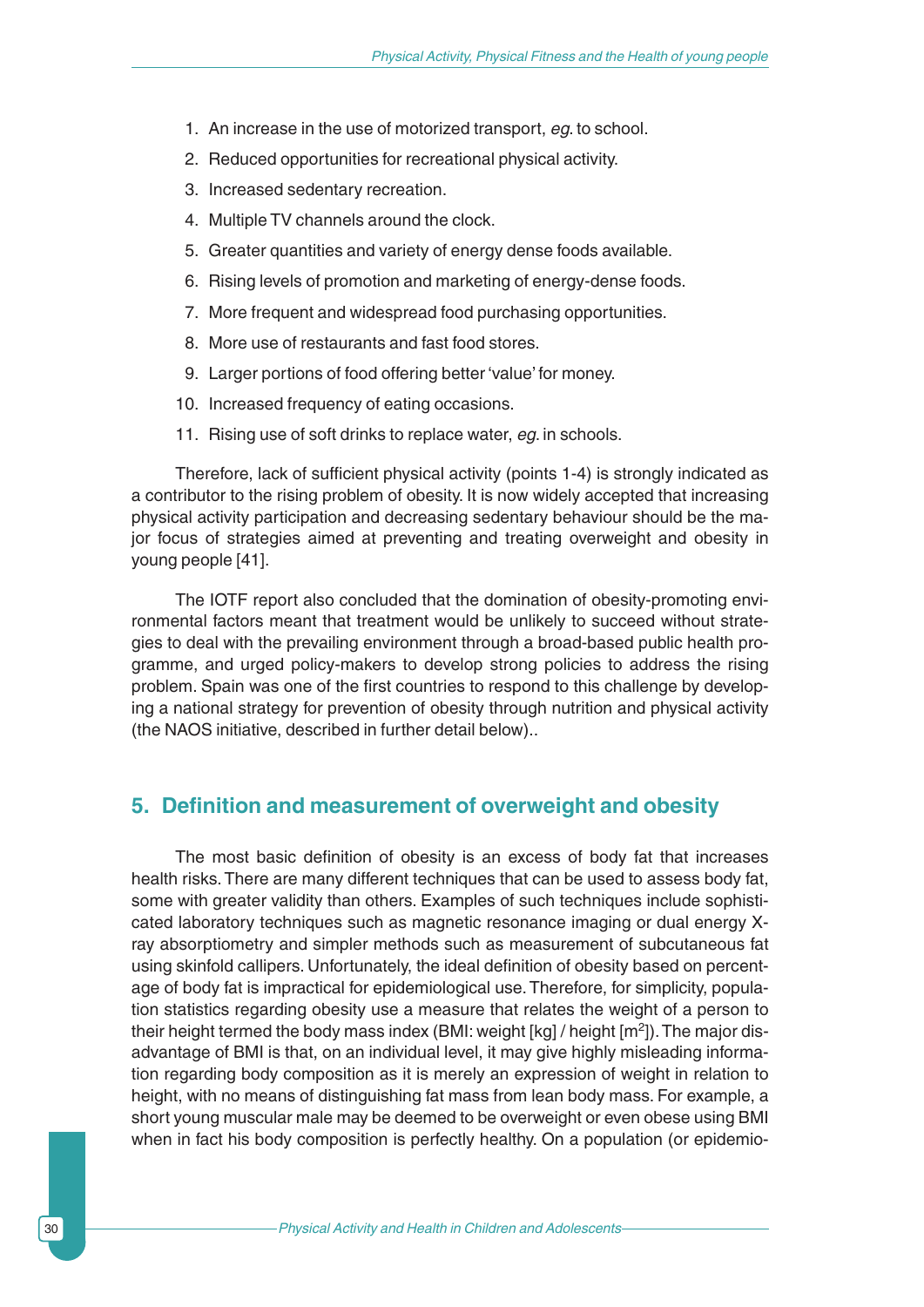- 1. An increase in the use of motorized transport, *eg*. to school.
- 2. Reduced opportunities for recreational physical activity.
- 3. Increased sedentary recreation.
- 4. Multiple TV channels around the clock.
- 5. Greater quantities and variety of energy dense foods available.
- 6. Rising levels of promotion and marketing of energy-dense foods.
- 7. More frequent and widespread food purchasing opportunities.
- 8. More use of restaurants and fast food stores.
- 9. Larger portions of food offering better 'value' for money.
- 10. Increased frequency of eating occasions.
- 11. Rising use of soft drinks to replace water, *eg*. in schools.

Therefore, lack of sufficient physical activity (points 1-4) is strongly indicated as a contributor to the rising problem of obesity. It is now widely accepted that increasing physical activity participation and decreasing sedentary behaviour should be the major focus of strategies aimed at preventing and treating overweight and obesity in young people [41].

The IOTF report also concluded that the domination of obesity-promoting environmental factors meant that treatment would be unlikely to succeed without strategies to deal with the prevailing environment through a broad-based public health programme, and urged policy-makers to develop strong policies to address the rising problem. Spain was one of the first countries to respond to this challenge by developing a national strategy for prevention of obesity through nutrition and physical activity (the NAOS initiative, described in further detail below)..

## **5. Definition and measurement of overweight and obesity**

The most basic definition of obesity is an excess of body fat that increases health risks. There are many different techniques that can be used to assess body fat, some with greater validity than others. Examples of such techniques include sophisticated laboratory techniques such as magnetic resonance imaging or dual energy Xray absorptiometry and simpler methods such as measurement of subcutaneous fat using skinfold callipers. Unfortunately, the ideal definition of obesity based on percentage of body fat is impractical for epidemiological use. Therefore, for simplicity, population statistics regarding obesity use a measure that relates the weight of a person to their height termed the body mass index (BMI: weight  $[kq]$  / height  $[m^2]$ ). The major disadvantage of BMI is that, on an individual level, it may give highly misleading information regarding body composition as it is merely an expression of weight in relation to height, with no means of distinguishing fat mass from lean body mass. For example, a short young muscular male may be deemed to be overweight or even obese using BMI when in fact his body composition is perfectly healthy. On a population (or epidemio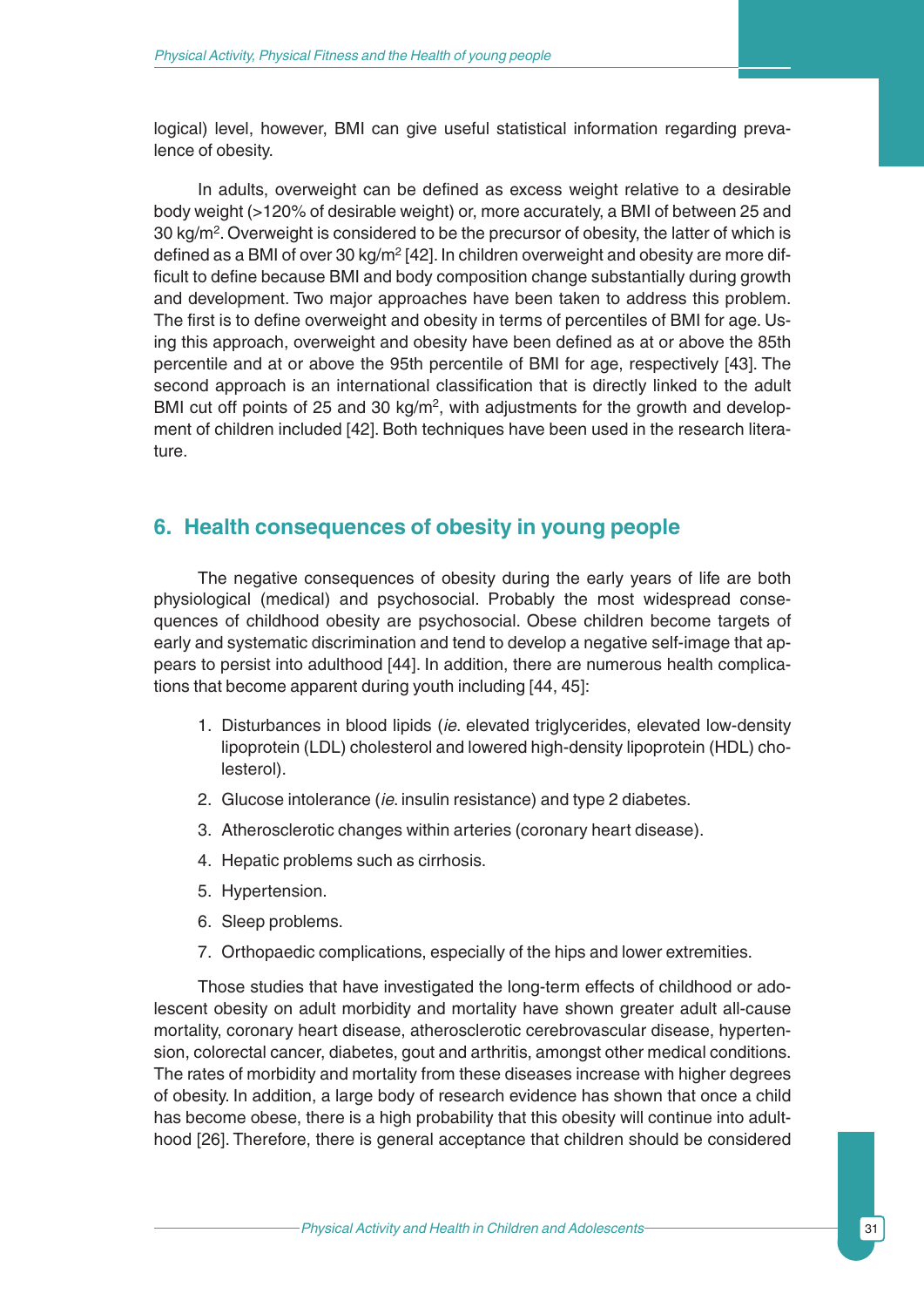logical) level, however, BMI can give useful statistical information regarding prevalence of obesity.

In adults, overweight can be defined as excess weight relative to a desirable body weight (>120% of desirable weight) or, more accurately, a BMI of between 25 and 30 kg/ $m^2$ . Overweight is considered to be the precursor of obesity, the latter of which is defined as a BMI of over 30 kg/m<sup>2</sup> [42]. In children overweight and obesity are more difficult to define because BMI and body composition change substantially during growth and development. Two major approaches have been taken to address this problem. The first is to define overweight and obesity in terms of percentiles of BMI for age. Using this approach, overweight and obesity have been defined as at or above the 85th percentile and at or above the 95th percentile of BMI for age, respectively [43]. The second approach is an international classification that is directly linked to the adult BMI cut off points of 25 and 30 kg/m<sup>2</sup>, with adjustments for the growth and development of children included [42]. Both techniques have been used in the research literature.

## **6. Health consequences of obesity in young people**

The negative consequences of obesity during the early years of life are both physiological (medical) and psychosocial. Probably the most widespread consequences of childhood obesity are psychosocial. Obese children become targets of early and systematic discrimination and tend to develop a negative self-image that appears to persist into adulthood [44]. In addition, there are numerous health complications that become apparent during youth including [44, 45]:

- 1. Disturbances in blood lipids (*ie*. elevated triglycerides, elevated low-density lipoprotein (LDL) cholesterol and lowered high-density lipoprotein (HDL) cholesterol).
- 2. Glucose intolerance (*ie*. insulin resistance) and type 2 diabetes.
- 3. Atherosclerotic changes within arteries (coronary heart disease).
- 4. Hepatic problems such as cirrhosis.
- 5. Hypertension.
- 6. Sleep problems.
- 7. Orthopaedic complications, especially of the hips and lower extremities.

Those studies that have investigated the long-term effects of childhood or adolescent obesity on adult morbidity and mortality have shown greater adult all-cause mortality, coronary heart disease, atherosclerotic cerebrovascular disease, hypertension, colorectal cancer, diabetes, gout and arthritis, amongst other medical conditions. The rates of morbidity and mortality from these diseases increase with higher degrees of obesity. In addition, a large body of research evidence has shown that once a child has become obese, there is a high probability that this obesity will continue into adulthood [26]. Therefore, there is general acceptance that children should be considered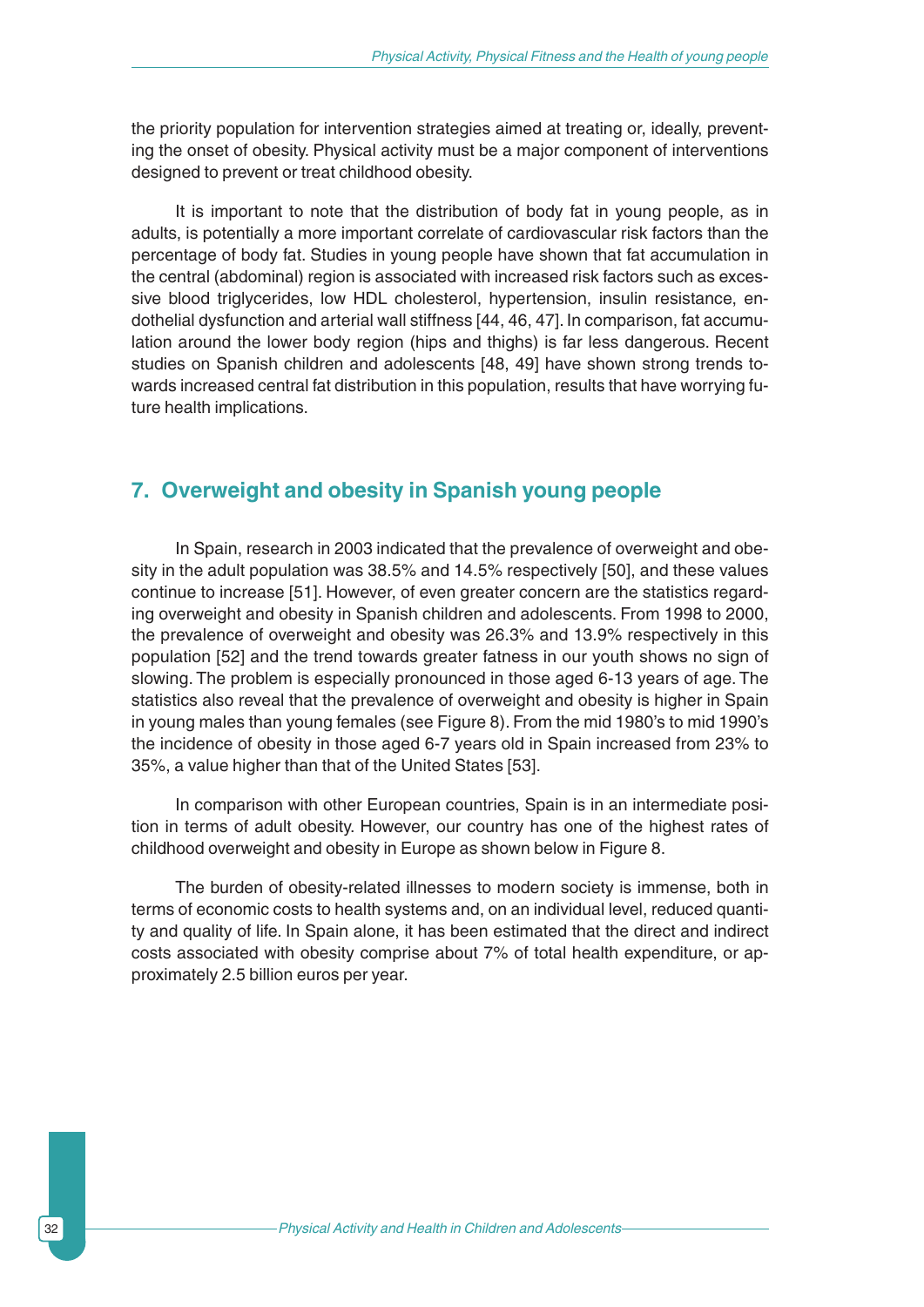the priority population for intervention strategies aimed at treating or, ideally, preventing the onset of obesity. Physical activity must be a major component of interventions designed to prevent or treat childhood obesity.

It is important to note that the distribution of body fat in young people, as in adults, is potentially a more important correlate of cardiovascular risk factors than the percentage of body fat. Studies in young people have shown that fat accumulation in the central (abdominal) region is associated with increased risk factors such as excessive blood triglycerides, low HDL cholesterol, hypertension, insulin resistance, endothelial dysfunction and arterial wall stiffness [44, 46, 47]. In comparison, fat accumulation around the lower body region (hips and thighs) is far less dangerous. Recent studies on Spanish children and adolescents [48, 49] have shown strong trends towards increased central fat distribution in this population, results that have worrying future health implications.

## **7. Overweight and obesity in Spanish young people**

In Spain, research in 2003 indicated that the prevalence of overweight and obesity in the adult population was 38.5% and 14.5% respectively [50], and these values continue to increase [51]. However, of even greater concern are the statistics regarding overweight and obesity in Spanish children and adolescents. From 1998 to 2000, the prevalence of overweight and obesity was 26.3% and 13.9% respectively in this population [52] and the trend towards greater fatness in our youth shows no sign of slowing. The problem is especially pronounced in those aged 6-13 years of age. The statistics also reveal that the prevalence of overweight and obesity is higher in Spain in young males than young females (see Figure 8). From the mid 1980's to mid 1990's the incidence of obesity in those aged 6-7 years old in Spain increased from 23% to 35%, a value higher than that of the United States [53].

In comparison with other European countries, Spain is in an intermediate position in terms of adult obesity. However, our country has one of the highest rates of childhood overweight and obesity in Europe as shown below in Figure 8.

The burden of obesity-related illnesses to modern society is immense, both in terms of economic costs to health systems and, on an individual level, reduced quantity and quality of life. In Spain alone, it has been estimated that the direct and indirect costs associated with obesity comprise about 7% of total health expenditure, or approximately 2.5 billion euros per year.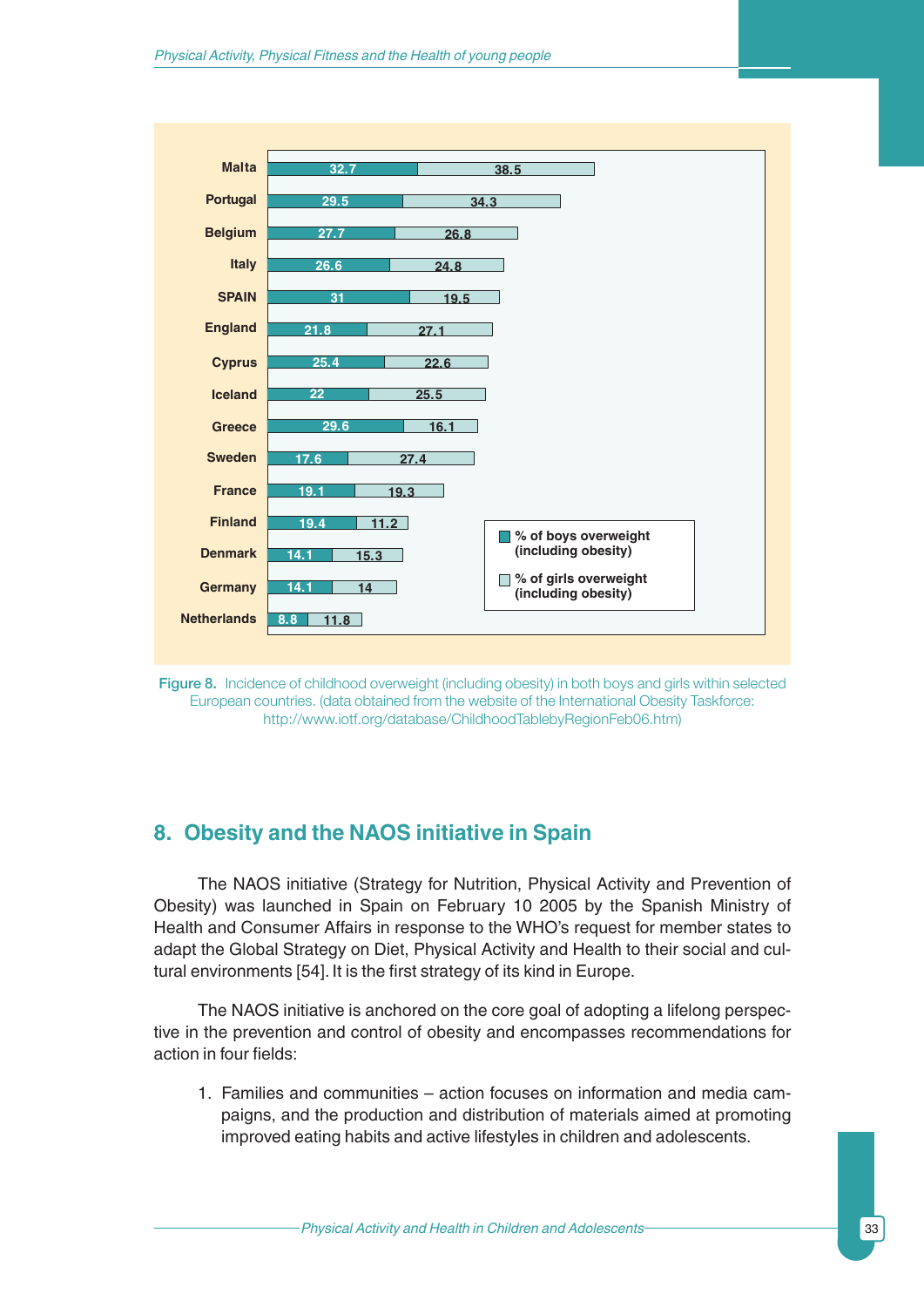



## **8. Obesity and the NAOS initiative in Spain**

The NAOS initiative (Strategy for Nutrition, Physical Activity and Prevention of Obesity) was launched in Spain on February 10 2005 by the Spanish Ministry of Health and Consumer Affairs in response to the WHO's request for member states to adapt the Global Strategy on Diet, Physical Activity and Health to their social and cultural environments [54]. It is the first strategy of its kind in Europe.

The NAOS initiative is anchored on the core goal of adopting a lifelong perspective in the prevention and control of obesity and encompasses recommendations for action in four fields:

1. Families and communities – action focuses on information and media campaigns, and the production and distribution of materials aimed at promoting improved eating habits and active lifestyles in children and adolescents.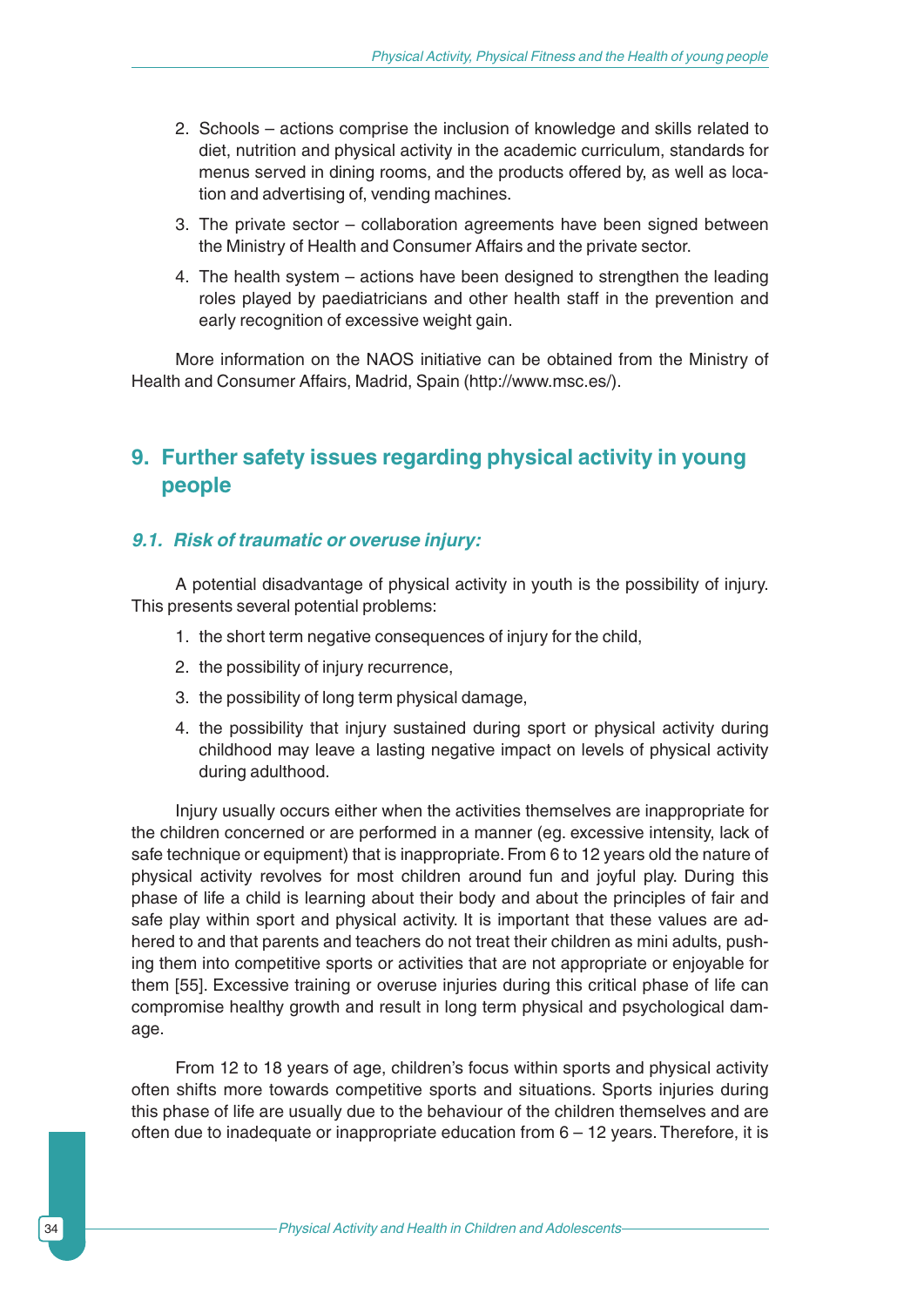- 2. Schools actions comprise the inclusion of knowledge and skills related to diet, nutrition and physical activity in the academic curriculum, standards for menus served in dining rooms, and the products offered by, as well as location and advertising of, vending machines.
- 3. The private sector collaboration agreements have been signed between the Ministry of Health and Consumer Affairs and the private sector.
- 4. The health system actions have been designed to strengthen the leading roles played by paediatricians and other health staff in the prevention and early recognition of excessive weight gain.

More information on the NAOS initiative can be obtained from the Ministry of Health and Consumer Affairs, Madrid, Spain (http://www.msc.es/).

## **9. Further safety issues regarding physical activity in young people**

#### *9.1. Risk of traumatic or overuse injury:*

A potential disadvantage of physical activity in youth is the possibility of injury. This presents several potential problems:

- 1. the short term negative consequences of injury for the child,
- 2. the possibility of injury recurrence,
- 3. the possibility of long term physical damage,
- 4. the possibility that injury sustained during sport or physical activity during childhood may leave a lasting negative impact on levels of physical activity during adulthood.

Injury usually occurs either when the activities themselves are inappropriate for the children concerned or are performed in a manner (eg. excessive intensity, lack of safe technique or equipment) that is inappropriate. From 6 to 12 years old the nature of physical activity revolves for most children around fun and joyful play. During this phase of life a child is learning about their body and about the principles of fair and safe play within sport and physical activity. It is important that these values are adhered to and that parents and teachers do not treat their children as mini adults, pushing them into competitive sports or activities that are not appropriate or enjoyable for them [55]. Excessive training or overuse injuries during this critical phase of life can compromise healthy growth and result in long term physical and psychological damage.

From 12 to 18 years of age, children's focus within sports and physical activity often shifts more towards competitive sports and situations. Sports injuries during this phase of life are usually due to the behaviour of the children themselves and are often due to inadequate or inappropriate education from 6 – 12 years. Therefore, it is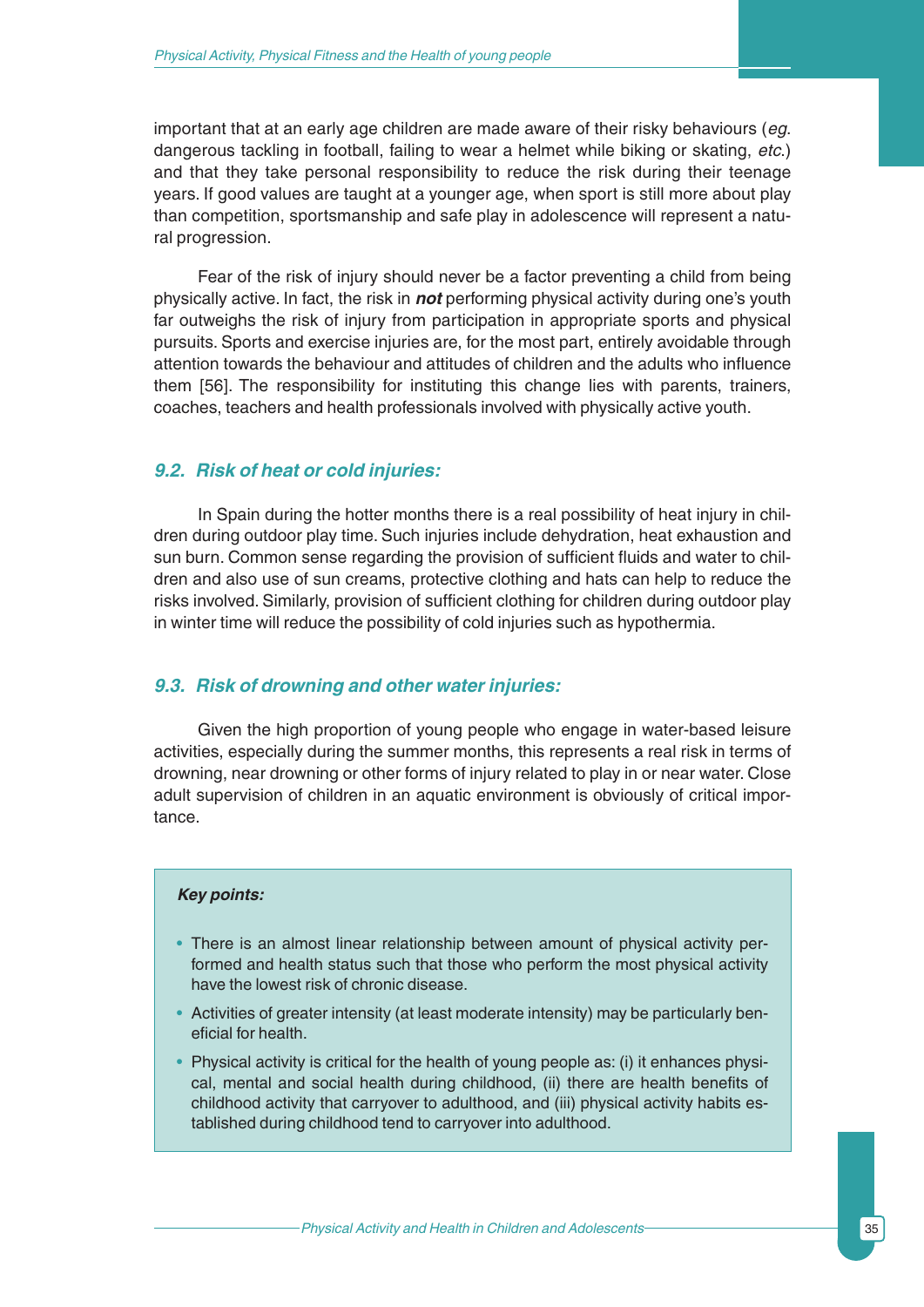important that at an early age children are made aware of their risky behaviours (*eg*. dangerous tackling in football, failing to wear a helmet while biking or skating, *etc*.) and that they take personal responsibility to reduce the risk during their teenage years. If good values are taught at a younger age, when sport is still more about play than competition, sportsmanship and safe play in adolescence will represent a natural progression.

Fear of the risk of injury should never be a factor preventing a child from being physically active. In fact, the risk in *not* performing physical activity during one's youth far outweighs the risk of injury from participation in appropriate sports and physical pursuits. Sports and exercise injuries are, for the most part, entirely avoidable through attention towards the behaviour and attitudes of children and the adults who influence them [56]. The responsibility for instituting this change lies with parents, trainers, coaches, teachers and health professionals involved with physically active youth.

### *9.2. Risk of heat or cold injuries:*

In Spain during the hotter months there is a real possibility of heat injury in children during outdoor play time. Such injuries include dehydration, heat exhaustion and sun burn. Common sense regarding the provision of sufficient fluids and water to children and also use of sun creams, protective clothing and hats can help to reduce the risks involved. Similarly, provision of sufficient clothing for children during outdoor play in winter time will reduce the possibility of cold injuries such as hypothermia.

#### *9.3. Risk of drowning and other water injuries:*

Given the high proportion of young people who engage in water-based leisure activities, especially during the summer months, this represents a real risk in terms of drowning, near drowning or other forms of injury related to play in or near water. Close adult supervision of children in an aquatic environment is obviously of critical importance.

#### *Key points:*

- There is an almost linear relationship between amount of physical activity performed and health status such that those who perform the most physical activity have the lowest risk of chronic disease.
- Activities of greater intensity (at least moderate intensity) may be particularly beneficial for health.
- Physical activity is critical for the health of young people as: (i) it enhances physical, mental and social health during childhood, (ii) there are health benefits of childhood activity that carryover to adulthood, and (iii) physical activity habits established during childhood tend to carryover into adulthood.